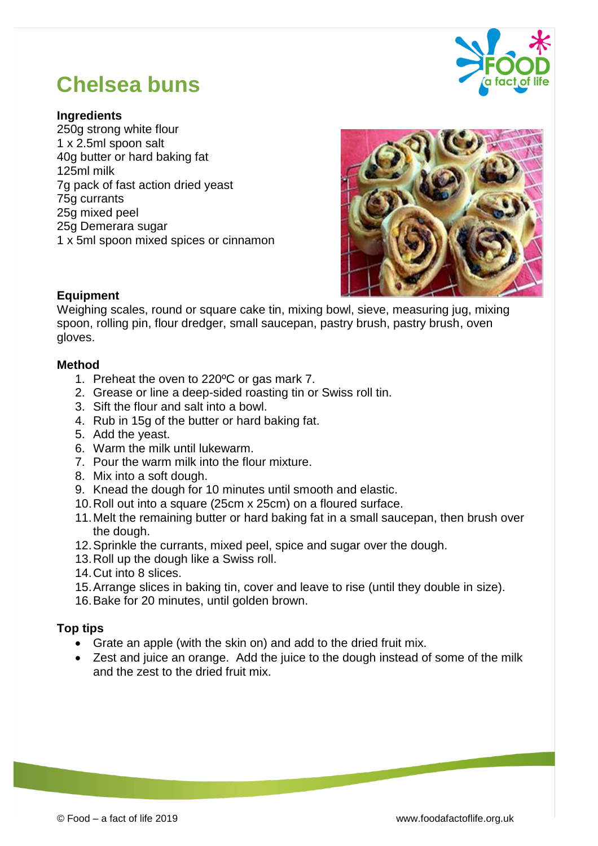

# **Chelsea buns**

#### **Ingredients**

250g strong white flour 1 x 2.5ml spoon salt 40g butter or hard baking fat 125ml milk 7g pack of fast action dried yeast 75g currants 25g mixed peel 25g Demerara sugar 1 x 5ml spoon mixed spices or cinnamon



#### **Equipment**

Weighing scales, round or square cake tin, mixing bowl, sieve, measuring jug, mixing spoon, rolling pin, flour dredger, small saucepan, pastry brush, pastry brush, oven gloves.

#### **Method**

- 1. Preheat the oven to 220ºC or gas mark 7.
- 2. Grease or line a deep-sided roasting tin or Swiss roll tin.
- 3. Sift the flour and salt into a bowl.
- 4. Rub in 15g of the butter or hard baking fat.
- 5. Add the yeast.
- 6. Warm the milk until lukewarm.
- 7. Pour the warm milk into the flour mixture.
- 8. Mix into a soft dough.
- 9. Knead the dough for 10 minutes until smooth and elastic.
- 10.Roll out into a square (25cm x 25cm) on a floured surface.
- 11.Melt the remaining butter or hard baking fat in a small saucepan, then brush over the dough.
- 12.Sprinkle the currants, mixed peel, spice and sugar over the dough.
- 13.Roll up the dough like a Swiss roll.
- 14.Cut into 8 slices.
- 15.Arrange slices in baking tin, cover and leave to rise (until they double in size).
- 16.Bake for 20 minutes, until golden brown.

### **Top tips**

- Grate an apple (with the skin on) and add to the dried fruit mix.
- Zest and juice an orange. Add the juice to the dough instead of some of the milk and the zest to the dried fruit mix.